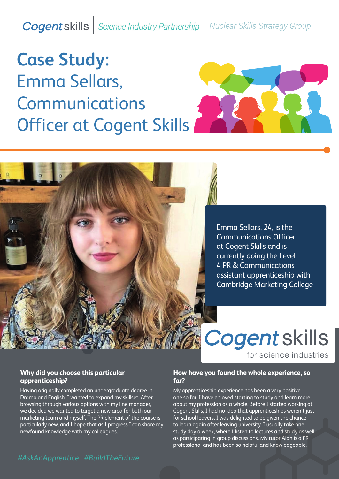**Cogent skills** Science Industry Partnership **Nuclear Skills Strategy Group** 

# **Case Study:**  Emma Sellars, Communications Officer at Cogent Skills



Emma Sellars, 24, is the Communications Officer at Cogent Skills and is currently doing the Level 4 PR & Communications assistant apprenticeship with Cambridge Marketing College

**Cogent skills** for science industries

# **Why did you choose this particular apprenticeship?**

Having originally completed an undergraduate degree in Drama and English, I wanted to expand my skillset. After browsing through various options with my line manager, we decided we wanted to target a new area for both our marketing team and myself. The PR element of the course is particularly new, and I hope that as I progress I can share my newfound knowledge with my colleagues.

# **How have you found the whole experience, so far?**

My apprenticeship experience has been a very positive one so far. I have enjoyed starting to study and learn more about my profession as a whole. Before I started working at Cogent Skills, I had no idea that apprenticeships weren't just for school leavers. I was delighted to be given the chance to learn again after leaving university. I usually take one study day a week, where I listen to lectures and study as well as participating in group discussions. My tutor Alan is a PR professional and has been so helpful and knowledgeable.